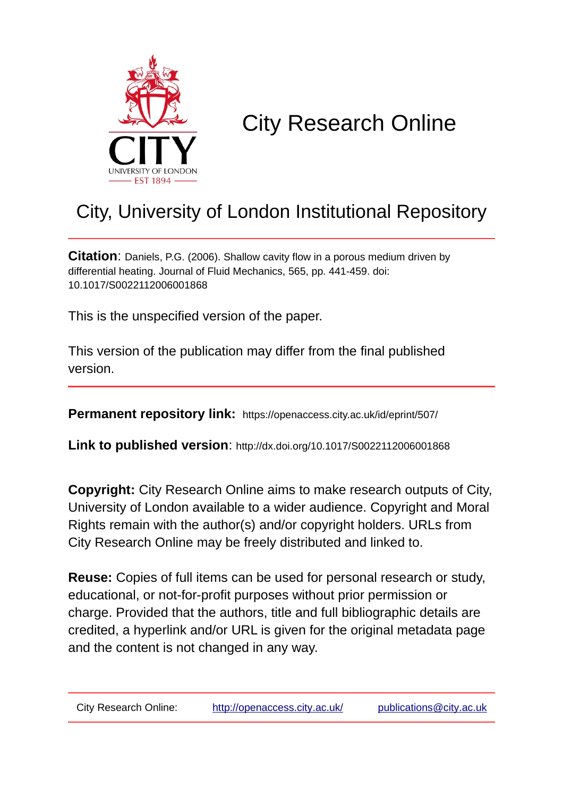

# City Research Online

## City, University of London Institutional Repository

**Citation**: Daniels, P.G. (2006). Shallow cavity flow in a porous medium driven by differential heating. Journal of Fluid Mechanics, 565, pp. 441-459. doi: 10.1017/S0022112006001868

This is the unspecified version of the paper.

This version of the publication may differ from the final published version.

**Permanent repository link:** https://openaccess.city.ac.uk/id/eprint/507/

**Link to published version**: http://dx.doi.org/10.1017/S0022112006001868

**Copyright:** City Research Online aims to make research outputs of City, University of London available to a wider audience. Copyright and Moral Rights remain with the author(s) and/or copyright holders. URLs from City Research Online may be freely distributed and linked to.

**Reuse:** Copies of full items can be used for personal research or study, educational, or not-for-profit purposes without prior permission or charge. Provided that the authors, title and full bibliographic details are credited, a hyperlink and/or URL is given for the original metadata page and the content is not changed in any way.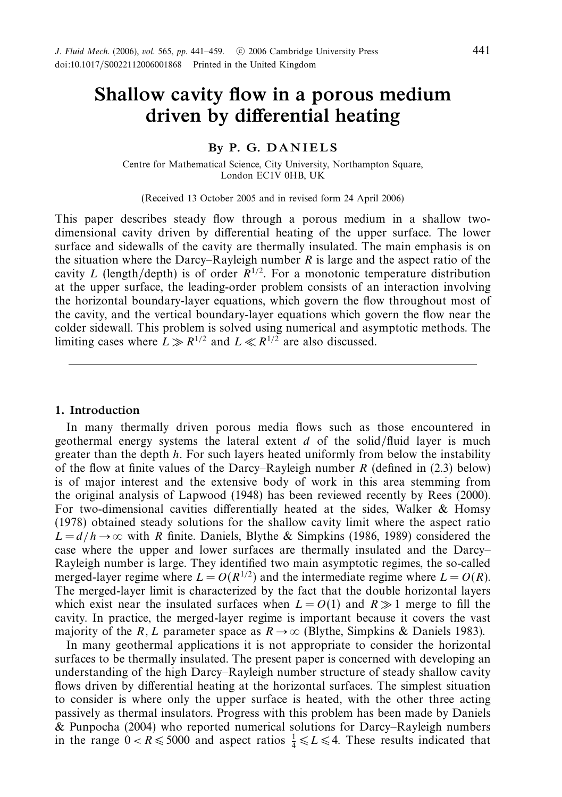### *Shallow cavity flow in a porous medium driven by differential heating*

#### *By P. G. D A N I E L S*

Centre for Mathematical Science, City University, Northampton Square, London EC1V 0HB, UK

(Received 13 October 2005 and in revised form 24 April 2006)

This paper describes steady flow through a porous medium in a shallow twodimensional cavity driven by differential heating of the upper surface. The lower surface and sidewalls of the cavity are thermally insulated. The main emphasis is on the situation where the Darcy–Rayleigh number  $R$  is large and the aspect ratio of the cavity *L* (length/depth) is of order  $\overline{R}^{1/2}$ . For a monotonic temperature distribution at the upper surface, the leading-order problem consists of an interaction involving the horizontal boundary-layer equations, which govern the flow throughout most of the cavity, and the vertical boundary-layer equations which govern the flow near the colder sidewall. This problem is solved using numerical and asymptotic methods. The limiting cases where  $L \gg R^{1/2}$  and  $L \ll R^{1/2}$  are also discussed.

#### *1. Introduction*

In many thermally driven porous media flows such as those encountered in geothermal energy systems the lateral extent *d* of the solid/fluid layer is much greater than the depth *h*. For such layers heated uniformly from below the instability of the flow at finite values of the Darcy–Rayleigh number *R* (defined in (2.3) below) is of major interest and the extensive body of work in this area stemming from the original analysis of Lapwood (1948) has been reviewed recently by Rees (2000). For two-dimensional cavities differentially heated at the sides, Walker & Homsy (1978) obtained steady solutions for the shallow cavity limit where the aspect ratio  $L = d/h \rightarrow \infty$  with *R* finite. Daniels, Blythe & Simpkins (1986, 1989) considered the case where the upper and lower surfaces are thermally insulated and the Darcy– Rayleigh number is large. They identified two main asymptotic regimes, the so-called merged-layer regime where  $L = O(R^{1/2})$  and the intermediate regime where  $L = O(R)$ . The merged-layer limit is characterized by the fact that the double horizontal layers which exist near the insulated surfaces when  $L = O(1)$  and  $R \gg 1$  merge to fill the cavity. In practice, the merged-layer regime is important because it covers the vast majority of the *R*, *L* parameter space as  $R \rightarrow \infty$  (Blythe, Simpkins & Daniels 1983).

In many geothermal applications it is not appropriate to consider the horizontal surfaces to be thermally insulated. The present paper is concerned with developing an understanding of the high Darcy–Rayleigh number structure of steady shallow cavity flows driven by differential heating at the horizontal surfaces. The simplest situation to consider is where only the upper surface is heated, with the other three acting passively as thermal insulators. Progress with this problem has been made by Daniels & Punpocha (2004) who reported numerical solutions for Darcy–Rayleigh numbers in the range  $0 < R \le 5000$  and aspect ratios  $\frac{1}{4} \le L \le 4$ . These results indicated that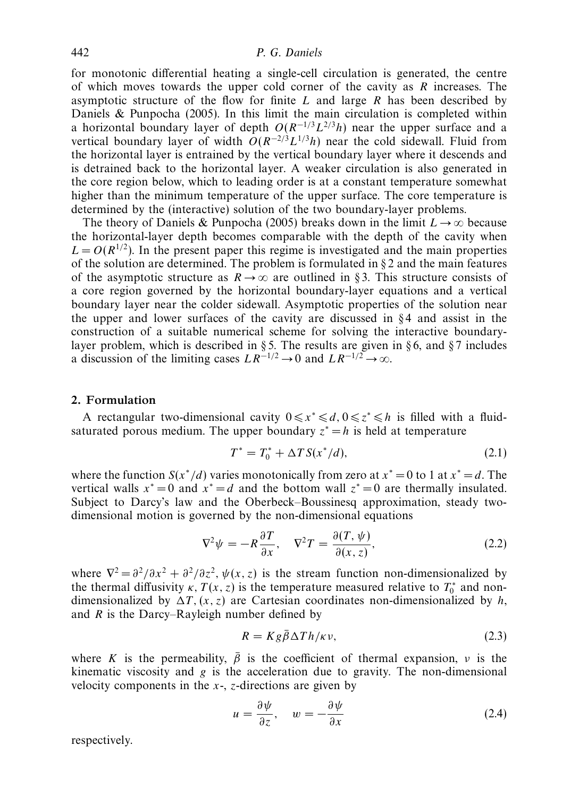#### 442 P. G. Daniels

for monotonic differential heating a single-cell circulation is generated, the centre of which moves towards the upper cold corner of the cavity as *R* increases. The asymptotic structure of the flow for finite *L* and large *R* has been described by Daniels & Punpocha (2005). In this limit the main circulation is completed within a horizontal boundary layer of depth  $O(R^{-1/3}L^{2/3}h)$  near the upper surface and a vertical boundary layer of width  $O(R^{-2/3}L^{1/3}h)$  near the cold sidewall. Fluid from the horizontal layer is entrained by the vertical boundary layer where it descends and is detrained back to the horizontal layer. A weaker circulation is also generated in the core region below, which to leading order is at a constant temperature somewhat higher than the minimum temperature of the upper surface. The core temperature is determined by the (interactive) solution of the two boundary-layer problems.

The theory of Daniels & Punpocha (2005) breaks down in the limit  $L \rightarrow \infty$  because the horizontal-layer depth becomes comparable with the depth of the cavity when  $L = O(R^{1/2})$ . In the present paper this regime is investigated and the main properties of the solution are determined. The problem is formulated in  $\S 2$  and the main features of the asymptotic structure as  $R \to \infty$  are outlined in §3. This structure consists of a core region governed by the horizontal boundary-layer equations and a vertical boundary layer near the colder sidewall. Asymptotic properties of the solution near the upper and lower surfaces of the cavity are discussed in  $\S 4$  and assist in the construction of a suitable numerical scheme for solving the interactive boundarylayer problem, which is described in § 5. The results are given in § 6, and § 7 includes a discussion of the limiting cases  $LR^{-1/2} \to 0$  and  $LR^{-1/2} \to \infty$ .

#### *2. Formulation*

A rectangular two-dimensional cavity  $0 \le x^* \le d$ ,  $0 \le z^* \le h$  is filled with a fluidsaturated porous medium. The upper boundary  $z^* = h$  is held at temperature

$$
T^* = T_0^* + \Delta T S(x^*/d), \tag{2.1}
$$

where the function  $S(x^*/d)$  varies monotonically from zero at  $x^* = 0$  to 1 at  $x^* = d$ . The vertical walls  $x^* = 0$  and  $x^* = d$  and the bottom wall  $z^* = 0$  are thermally insulated. Subject to Darcy's law and the Oberbeck–Boussinesq approximation, steady twodimensional motion is governed by the non-dimensional equations

$$
\nabla^2 \psi = -R \frac{\partial T}{\partial x}, \quad \nabla^2 T = \frac{\partial (T, \psi)}{\partial (x, z)},
$$
\n(2.2)

where  $\nabla^2 = \frac{\partial^2}{\partial x^2} + \frac{\partial^2}{\partial z^2}$ ,  $\psi(x, z)$  is the stream function non-dimensionalized by the thermal diffusivity  $\kappa$ ,  $T(x, z)$  is the temperature measured relative to  $T_0^*$  and nondimensionalized by  $\Delta T$ ,  $(x, z)$  are Cartesian coordinates non-dimensionalized by *h*, and *R* is the Darcy–Rayleigh number defined by

$$
R = Kg\bar{\beta}\Delta T h/\kappa v,\tag{2.3}
$$

where *K* is the permeability,  $\bar{\beta}$  is the coefficient of thermal expansion, *ν* is the kinematic viscosity and *g* is the acceleration due to gravity. The non-dimensional velocity components in the *x*-, *z*-directions are given by

$$
u = \frac{\partial \psi}{\partial z}, \quad w = -\frac{\partial \psi}{\partial x}
$$
 (2.4)

respectively.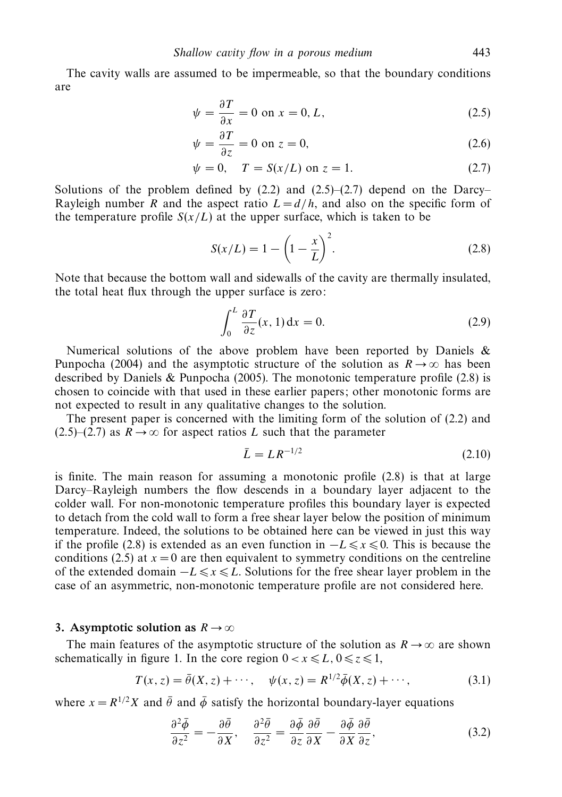The cavity walls are assumed to be impermeable, so that the boundary conditions are

$$
\psi = \frac{\partial T}{\partial x} = 0 \text{ on } x = 0, L,
$$
\n(2.5)

$$
\psi = \frac{\partial T}{\partial z} = 0 \text{ on } z = 0,
$$
\n(2.6)

$$
\psi = 0, \quad T = S(x/L) \text{ on } z = 1.
$$
\n(2.7)

Solutions of the problem defined by  $(2.2)$  and  $(2.5)$ – $(2.7)$  depend on the Darcy– Rayleigh number *R* and the aspect ratio  $L = d/h$ , and also on the specific form of the temperature profile  $S(x/L)$  at the upper surface, which is taken to be

$$
S(x/L) = 1 - \left(1 - \frac{x}{L}\right)^2.
$$
 (2.8)

Note that because the bottom wall and sidewalls of the cavity are thermally insulated, the total heat flux through the upper surface is zero:

$$
\int_0^L \frac{\partial T}{\partial z}(x, 1) \, \mathrm{d}x = 0. \tag{2.9}
$$

Numerical solutions of the above problem have been reported by Daniels & Punpocha (2004) and the asymptotic structure of the solution as  $R \to \infty$  has been described by Daniels  $&$  Punpocha (2005). The monotonic temperature profile (2.8) is chosen to coincide with that used in these earlier papers; other monotonic forms are not expected to result in any qualitative changes to the solution.

The present paper is concerned with the limiting form of the solution of (2.2) and  $(2.5)$ – $(2.7)$  as  $R \rightarrow \infty$  for aspect ratios L such that the parameter

$$
\bar{L} = L R^{-1/2} \tag{2.10}
$$

is finite. The main reason for assuming a monotonic profile (2.8) is that at large Darcy–Rayleigh numbers the flow descends in a boundary layer adjacent to the colder wall. For non-monotonic temperature profiles this boundary layer is expected to detach from the cold wall to form a free shear layer below the position of minimum temperature. Indeed, the solutions to be obtained here can be viewed in just this way if the profile (2.8) is extended as an even function in  $-L \le x \le 0$ . This is because the conditions (2.5) at  $x = 0$  are then equivalent to symmetry conditions on the centreline of the extended domain  $-L \le x \le L$ . Solutions for the free shear layer problem in the case of an asymmetric, non-monotonic temperature profile are not considered here.

#### 3. Asymptotic solution as  $R \to \infty$

The main features of the asymptotic structure of the solution as  $R \to \infty$  are shown schematically in figure 1. In the core region  $0 < x \le L$ ,  $0 \le z \le 1$ ,

$$
T(x, z) = \bar{\theta}(X, z) + \cdots, \quad \psi(x, z) = R^{1/2} \bar{\phi}(X, z) + \cdots,
$$
 (3.1)

on a construction of the construction of the construction of the construction of the construction of the construction of the construction of the construction of the construction of the construction of the construction of

where  $x = R^{1/2}X$  and  $\bar{\theta}$  and  $\bar{\phi}$  satisfy the horizontal boundary-layer equations

$$
\frac{\partial^2 \bar{\phi}}{\partial z^2} = -\frac{\partial \bar{\theta}}{\partial X}, \quad \frac{\partial^2 \bar{\theta}}{\partial z^2} = \frac{\partial \bar{\phi}}{\partial z} \frac{\partial \bar{\theta}}{\partial X} - \frac{\partial \bar{\phi}}{\partial X} \frac{\partial \bar{\theta}}{\partial z}, \tag{3.2}
$$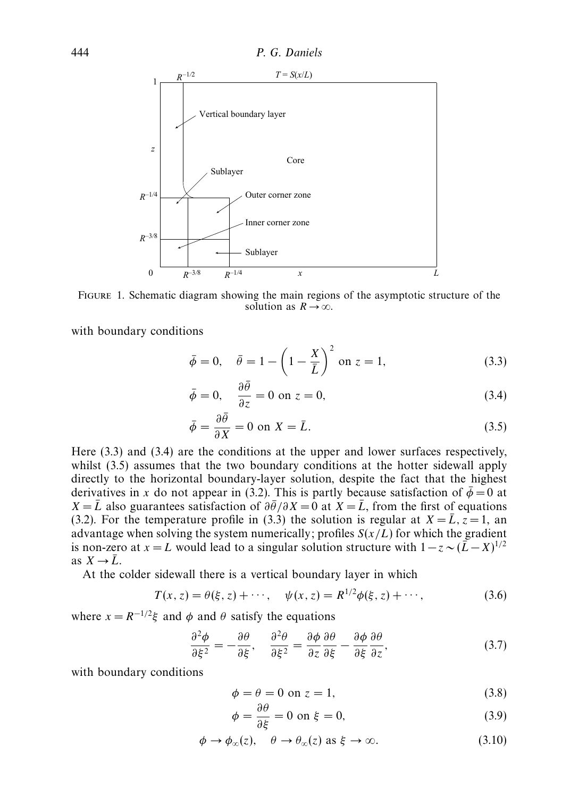

Figure 1. Schematic diagram showing the main regions of the asymptotic structure of the solution as  $R \to \infty$ .

with boundary conditions

$$
\bar{\phi} = 0, \quad \bar{\theta} = 1 - \left(1 - \frac{X}{\bar{L}}\right)^2 \text{ on } z = 1,
$$
\n(3.3)

$$
\bar{\phi} = 0, \quad \frac{\partial \bar{\theta}}{\partial z} = 0 \text{ on } z = 0,
$$
\n(3.4)

$$
\bar{\phi} = \frac{\partial \bar{\theta}}{\partial X} = 0 \text{ on } X = \bar{L}.
$$
\n(3.5)

Here (3.3) and (3.4) are the conditions at the upper and lower surfaces respectively, whilst  $(3.5)$  assumes that the two boundary conditions at the hotter sidewall apply directly to the horizontal boundary-layer solution, despite the fact that the highest derivatives in *x* do not appear in (3.2). This is partly because satisfaction of  $\bar{\phi} = 0$  at *X* =  $\bar{L}$  also guarantees satisfaction of  $\partial \bar{\theta}/\partial X = 0$  at *X* =  $\bar{L}$ , from the first of equations (3.2). For the temperature profile in (3.3) the solution is regular at  $X = \overline{L}$ ,  $z = 1$ , an advantage when solving the system numerically; profiles  $S(x/L)$  for which the gradient is non-zero at *x* = *L* would lead to a singular solution structure with  $1-z \sim (\overline{L} - X)^{1/2}$ as  $X \rightarrow \overline{L}$ .

At the colder sidewall there is a vertical boundary layer in which

$$
T(x, z) = \theta(\xi, z) + \cdots, \quad \psi(x, z) = R^{1/2} \phi(\xi, z) + \cdots,
$$
 (3.6)

where  $x = R^{-1/2}\xi$  and  $\phi$  and  $\theta$  satisfy the equations

$$
\frac{\partial^2 \phi}{\partial \xi^2} = -\frac{\partial \theta}{\partial \xi}, \quad \frac{\partial^2 \theta}{\partial \xi^2} = \frac{\partial \phi}{\partial z} \frac{\partial \theta}{\partial \xi} - \frac{\partial \phi}{\partial \xi} \frac{\partial \theta}{\partial z}, \tag{3.7}
$$

with boundary conditions

$$
\phi = \theta = 0 \text{ on } z = 1,\tag{3.8}
$$

$$
\phi = \frac{\partial \theta}{\partial \xi} = 0 \text{ on } \xi = 0,
$$
\n(3.9)

$$
\phi \to \phi_{\infty}(z), \quad \theta \to \theta_{\infty}(z) \text{ as } \xi \to \infty.
$$
 (3.10)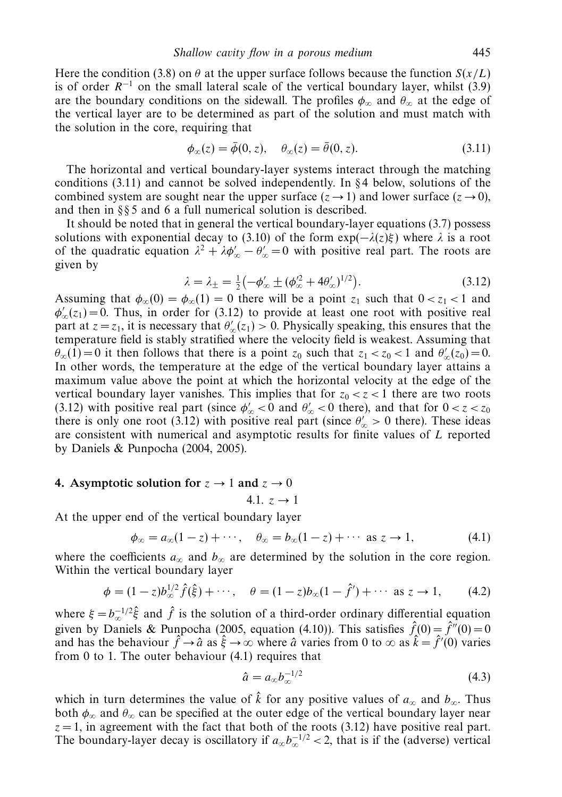Here the condition (3.8) on  $\theta$  at the upper surface follows because the function  $S(x/L)$ is of order  $R^{-1}$  on the small lateral scale of the vertical boundary layer, whilst (3.9) are the boundary conditions on the sidewall. The profiles  $\phi_{\infty}$  and  $\theta_{\infty}$  at the edge of the vertical layer are to be determined as part of the solution and must match with the solution in the core, requiring that

$$
\phi_{\infty}(z) = \bar{\phi}(0, z), \quad \theta_{\infty}(z) = \bar{\theta}(0, z). \tag{3.11}
$$

The horizontal and vertical boundary-layer systems interact through the matching conditions  $(3.11)$  and cannot be solved independently. In §4 below, solutions of the combined system are sought near the upper surface  $(z \rightarrow 1)$  and lower surface  $(z \rightarrow 0)$ , and then in § § 5 and 6 a full numerical solution is described.

It should be noted that in general the vertical boundary-layer equations (3.7) possess solutions with exponential decay to (3.10) of the form  $exp(-\lambda(z)\xi)$  where  $\lambda$  is a root of the quadratic equation  $\lambda^2 + \lambda \phi'_{\infty} - \theta'_{\infty} = 0$  with positive real part. The roots are given by

$$
\lambda = \lambda_{\pm} = \frac{1}{2} \left( -\phi'_{\infty} \pm (\phi'^{2}_{\infty} + 4\theta'_{\infty})^{1/2} \right). \tag{3.12}
$$

Assuming that  $\phi_{\infty}(0) = \phi_{\infty}(1) = 0$  there will be a point  $z_1$  such that  $0 < z_1 < 1$  and  $\phi_{\infty}'(z_1) = 0$ . Thus, in order for (3.12) to provide at least one root with positive real part at  $z = z_1$ , it is necessary that  $\theta'_\infty(z_1) > 0$ . Physically speaking, this ensures that the temperature field is stably stratified where the velocity field is weakest. Assuming that  $\theta_{\infty}(1) = 0$  it then follows that there is a point  $z_0$  such that  $z_1 < z_0 < 1$  and  $\theta'_{\infty}(z_0) = 0$ . In other words, the temperature at the edge of the vertical boundary layer attains a maximum value above the point at which the horizontal velocity at the edge of the vertical boundary layer vanishes. This implies that for  $z_0 < z < 1$  there are two roots (3.12) with positive real part (since  $\phi_{\infty}^{\prime} < 0$  and  $\theta_{\infty}^{\prime} < 0$  there), and that for  $0 < z < z_0$ there is only one root (3.12) with positive real part (since  $\theta_{\infty}$  > 0 there). These ideas are consistent with numerical and asymptotic results for finite values of *L* reported by Daniels & Punpocha (2004, 2005).

#### 4. Asymptotic solution for  $z \to 1$  and  $z \to 0$

4.1.  $z \to 1$ 

At the upper end of the vertical boundary layer

$$
\phi_{\infty} = a_{\infty}(1-z) + \cdots, \quad \theta_{\infty} = b_{\infty}(1-z) + \cdots \text{ as } z \to 1,
$$
\n(4.1)

where the coefficients  $a_{\infty}$  and  $b_{\infty}$  are determined by the solution in the core region. Within the vertical boundary layer

$$
\phi = (1-z)b_{\infty}^{1/2}\hat{f}(\hat{\xi}) + \cdots, \quad \theta = (1-z)b_{\infty}(1-\hat{f}') + \cdots \text{ as } z \to 1,
$$
 (4.2)

where  $\xi = b_{\infty}^{-1/2} \hat{\xi}$  and  $\hat{f}$  is the solution of a third-order ordinary differential equation given by Daniels & Punpocha (2005, equation (4.10)). This satisfies  $\hat{f}(0) = \hat{f}''(0) = 0$ and has the behaviour  $\hat{f} \to \hat{a}$  as  $\hat{\xi} \to \infty$  where  $\hat{a}$  varies from 0 to  $\infty$  as  $\hat{k} = \hat{f}'(0)$  varies from 0 to 1. The outer behaviour (4.1) requires that

$$
\hat{a} = a_{\infty} b_{\infty}^{-1/2} \tag{4.3}
$$

which in turn determines the value of  $\hat{k}$  for any positive values of  $a_{\infty}$  and  $b_{\infty}$ . Thus both  $\phi_{\infty}$  and  $\theta_{\infty}$  can be specified at the outer edge of the vertical boundary layer near  $z = 1$ , in agreement with the fact that both of the roots (3.12) have positive real part. The boundary-layer decay is oscillatory if  $a_{\infty}b_{\infty}^{-1/2}$  < 2, that is if the (adverse) vertical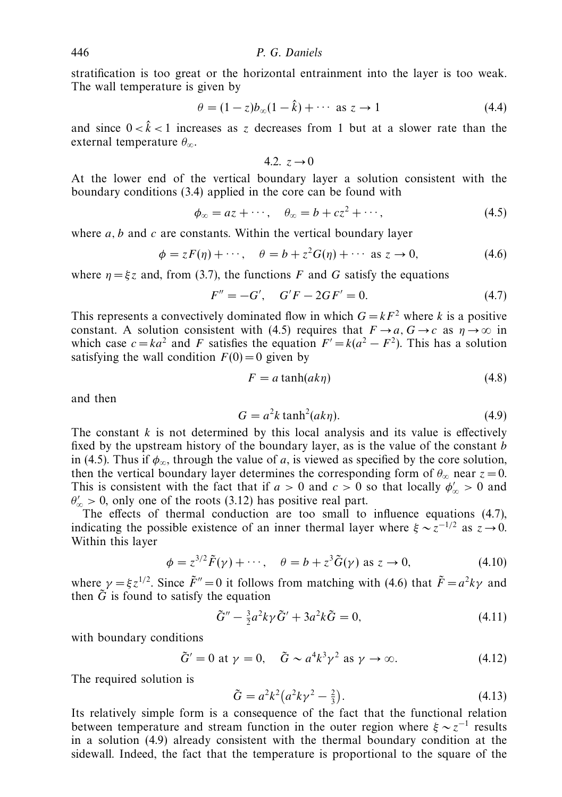stratification is too great or the horizontal entrainment into the layer is too weak. The wall temperature is given by

$$
\theta = (1 - z)b_{\infty}(1 - \hat{k}) + \cdots \text{ as } z \to 1 \tag{4.4}
$$

and since  $0 < \hat{k} < 1$  increases as *z* decreases from 1 but at a slower rate than the external temperature *θ*∞.

$$
4.2. z \rightarrow 0
$$

At the lower end of the vertical boundary layer a solution consistent with the boundary conditions (3.4) applied in the core can be found with

$$
\phi_{\infty} = az + \cdots, \quad \theta_{\infty} = b + cz^2 + \cdots,
$$
\n(4.5)

where *a, b* and *c* are constants. Within the vertical boundary layer

$$
\phi = zF(\eta) + \cdots, \quad \theta = b + z^2 G(\eta) + \cdots \text{ as } z \to 0,
$$
\n(4.6)

where  $\eta = \xi z$  and, from (3.7), the functions *F* and *G* satisfy the equations

$$
F'' = -G', \quad G'F - 2GF' = 0.
$$
\n(4.7)

This represents a convectively dominated flow in which  $G = kF^2$  where *k* is a positive constant. A solution consistent with (4.5) requires that  $F \to a$ ,  $G \to c$  as  $\eta \to \infty$  in which case  $c = ka^2$  and *F* satisfies the equation  $F' = k(a^2 - F^2)$ . This has a solution satisfying the wall condition  $F(0) = 0$  given by

$$
F = a \tanh(ak\eta) \tag{4.8}
$$

and then

$$
G = a^2 k \tanh^2(a k \eta). \tag{4.9}
$$

The constant *k* is not determined by this local analysis and its value is effectively fixed by the upstream history of the boundary layer, as is the value of the constant *b* in (4.5). Thus if  $\phi_{\infty}$ , through the value of *a*, is viewed as specified by the core solution, then the vertical boundary layer determines the corresponding form of  $\theta_{\infty}$  near  $z = 0$ . This is consistent with the fact that if  $a > 0$  and  $c > 0$  so that locally  $\phi_{\infty} > 0$  and  $\theta_{\infty}$  > 0, only one of the roots (3.12) has positive real part.

The effects of thermal conduction are too small to influence equations (4.7), indicating the possible existence of an inner thermal layer where  $\xi \sim z^{-1/2}$  as  $z \to 0$ . Within this layer

$$
\phi = z^{3/2} \tilde{F}(\gamma) + \cdots, \quad \theta = b + z^3 \tilde{G}(\gamma) \text{ as } z \to 0,
$$
\n(4.10)

where  $\gamma = \xi z^{1/2}$ . Since  $\tilde{F}'' = 0$  it follows from matching with (4.6) that  $\tilde{F} = a^2 k \gamma$  and then  $\tilde{G}$  is found to satisfy the equation

$$
\tilde{G}'' - \frac{3}{2}a^2k\gamma\tilde{G}' + 3a^2k\tilde{G} = 0,
$$
\n(4.11)

with boundary conditions

$$
\tilde{G}' = 0 \text{ at } \gamma = 0, \quad \tilde{G} \sim a^4 k^3 \gamma^2 \text{ as } \gamma \to \infty.
$$
 (4.12)

The required solution is

$$
\tilde{G} = a^2 k^2 (a^2 k \gamma^2 - \frac{2}{3}).
$$
\n(4.13)

Its relatively simple form is a consequence of the fact that the functional relation between temperature and stream function in the outer region where  $\xi \sim z^{-1}$  results in a solution (4.9) already consistent with the thermal boundary condition at the sidewall. Indeed, the fact that the temperature is proportional to the square of the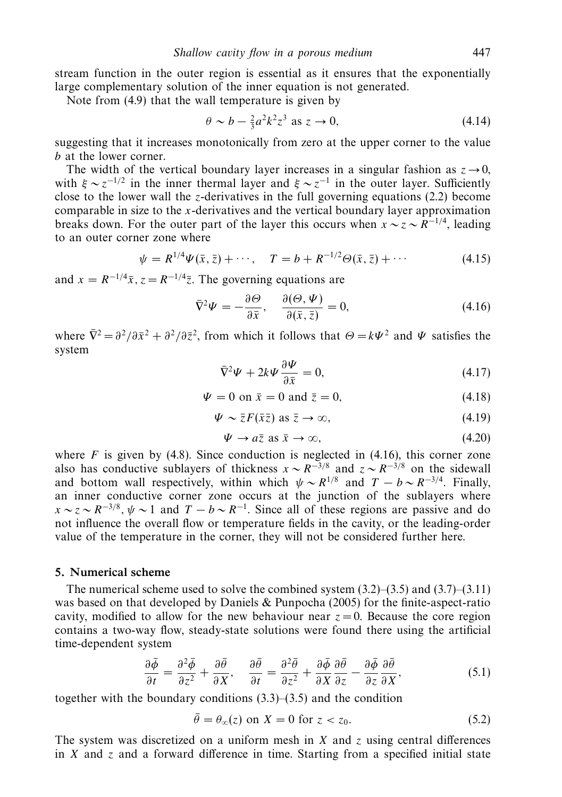stream function in the outer region is essential as it ensures that the exponentially large complementary solution of the inner equation is not generated.

Note from (4.9) that the wall temperature is given by

$$
\theta \sim b - \frac{2}{3}a^2k^2z^3 \text{ as } z \to 0,
$$
\n(4.14)

suggesting that it increases monotonically from zero at the upper corner to the value *b* at the lower corner.

The width of the vertical boundary layer increases in a singular fashion as  $z \rightarrow 0$ . with  $\xi \sim z^{-1/2}$  in the inner thermal layer and  $\xi \sim z^{-1}$  in the outer layer. Sufficiently close to the lower wall the *z*-derivatives in the full governing equations  $(2.2)$  become comparable in size to the *x*-derivatives and the vertical boundary layer approximation breaks down. For the outer part of the layer this occurs when  $x \sim z \sim R^{-1/4}$ , leading to an outer corner zone where

$$
\psi = R^{1/4} \Psi(\bar{x}, \bar{z}) + \cdots, \quad T = b + R^{-1/2} \Theta(\bar{x}, \bar{z}) + \cdots \tag{4.15}
$$

and  $x = R^{-1/4}\bar{x}$ ,  $z = R^{-1/4}\bar{z}$ . The governing equations are

$$
\bar{\nabla}^2 \Psi = -\frac{\partial \Theta}{\partial \bar{x}}, \quad \frac{\partial (\Theta, \Psi)}{\partial (\bar{x}, \bar{z})} = 0, \tag{4.16}
$$

where  $\bar{\nabla}^2 = \partial^2/\partial \bar{x}^2 + \partial^2/\partial \bar{z}^2$ , from which it follows that  $\Theta = k\Psi^2$  and  $\Psi$  satisfies the system

$$
\bar{\nabla}^2 \Psi + 2k \Psi \frac{\partial \Psi}{\partial \bar{x}} = 0, \tag{4.17}
$$

$$
\Psi = 0 \text{ on } \bar{x} = 0 \text{ and } \bar{z} = 0,
$$
\n(4.18)

$$
\Psi \sim \bar{z}F(\bar{x}\bar{z}) \text{ as } \bar{z} \to \infty,
$$
\n(4.19)

$$
\Psi \to a\bar{z} \text{ as } \bar{x} \to \infty,
$$
\n(4.20)

where  $F$  is given by (4.8). Since conduction is neglected in (4.16), this corner zone also has conductive sublayers of thickness  $x \sim R^{-3/8}$  and  $z \sim R^{-3/8}$  on the sidewall and bottom wall respectively, within which  $\psi \sim R^{1/8}$  and  $T - b \sim R^{-3/4}$ . Finally, an inner conductive corner zone occurs at the junction of the sublayers where  $x \sim z \sim R^{-3/8}$ ,  $\psi \sim 1$  and  $T - b \sim R^{-1}$ . Since all of these regions are passive and do not influence the overall flow or temperature fields in the cavity, or the leading-order value of the temperature in the corner, they will not be considered further here.

#### *5. Numerical scheme*

The numerical scheme used to solve the combined system  $(3.2)$ – $(3.5)$  and  $(3.7)$ – $(3.11)$ was based on that developed by Daniels & Punpocha (2005) for the finite-aspect-ratio cavity, modified to allow for the new behaviour near  $z = 0$ . Because the core region contains a two-way flow, steady-state solutions were found there using the artificial time-dependent system

$$
\frac{\partial \bar{\phi}}{\partial t} = \frac{\partial^2 \bar{\phi}}{\partial z^2} + \frac{\partial \bar{\theta}}{\partial x}, \quad \frac{\partial \bar{\theta}}{\partial t} = \frac{\partial^2 \bar{\theta}}{\partial z^2} + \frac{\partial \bar{\phi}}{\partial x} \frac{\partial \bar{\theta}}{\partial z} - \frac{\partial \bar{\phi}}{\partial z} \frac{\partial \bar{\theta}}{\partial x}, \tag{5.1}
$$

together with the boundary conditions (3.3)–(3.5) and the condition

$$
\bar{\theta} = \theta_{\infty}(z) \text{ on } X = 0 \text{ for } z < z_0. \tag{5.2}
$$

The system was discretized on a uniform mesh in *X* and *z* using central differences in *X* and *z* and a forward difference in time. Starting from a specified initial state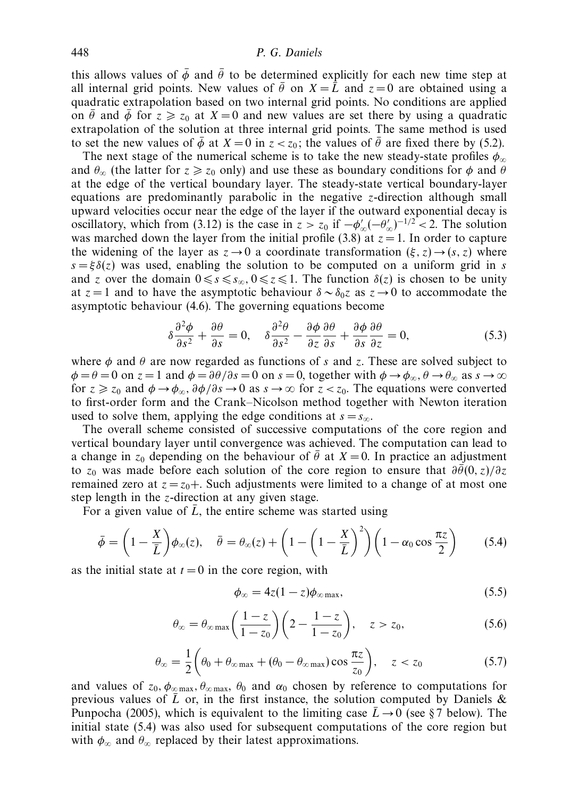this allows values of  $\bar{\phi}$  and  $\bar{\theta}$  to be determined explicitly for each new time step at all internal grid points. New values of  $\bar{\theta}$  on  $X = \bar{L}$  and  $z = 0$  are obtained using a quadratic extrapolation based on two internal grid points. No conditions are applied on  $\bar{\theta}$  and  $\bar{\phi}$  for  $z \ge z_0$  at  $X = 0$  and new values are set there by using a quadratic extrapolation of the solution at three internal grid points. The same method is used to set the new values of  $\bar{\phi}$  at  $X = 0$  in  $z < z_0$ ; the values of  $\bar{\theta}$  are fixed there by (5.2).

The next stage of the numerical scheme is to take the new steady-state profiles *φ*<sup>∞</sup> and  $\theta_{\infty}$  (the latter for  $z \ge z_0$  only) and use these as boundary conditions for  $\phi$  and  $\theta$ at the edge of the vertical boundary layer. The steady-state vertical boundary-layer equations are predominantly parabolic in the negative *z*-direction although small upward velocities occur near the edge of the layer if the outward exponential decay is oscillatory, which from (3.12) is the case in  $z > z_0$  if  $-\phi_{\infty}'(-\theta_{\infty}')^{-1/2} < 2$ . The solution was marched down the layer from the initial profile (3.8) at  $z = 1$ . In order to capture the widening of the layer as  $z \to 0$  a coordinate transformation  $(\xi, z) \to (s, z)$  where  $s = \xi \delta(z)$  was used, enabling the solution to be computed on a uniform grid in *s* and *z* over the domain  $0 \le s \le s_\infty$ ,  $0 \le z \le 1$ . The function  $\delta(z)$  is chosen to be unity at  $z = 1$  and to have the asymptotic behaviour  $\delta \sim \delta_{0}z$  as  $z \to 0$  to accommodate the asymptotic behaviour (4.6). The governing equations become

$$
\delta \frac{\partial^2 \phi}{\partial s^2} + \frac{\partial \theta}{\partial s} = 0, \quad \delta \frac{\partial^2 \theta}{\partial s^2} - \frac{\partial \phi}{\partial z} \frac{\partial \theta}{\partial s} + \frac{\partial \phi}{\partial s} \frac{\partial \theta}{\partial z} = 0,\tag{5.3}
$$

where  $\phi$  and  $\theta$  are now regarded as functions of *s* and *z*. These are solved subject to  $\phi = \theta = 0$  on  $z = 1$  and  $\phi = \frac{\partial \theta}{\partial s} = 0$  on  $s = 0$ , together with  $\phi \rightarrow \phi_{\infty}, \theta \rightarrow \theta_{\infty}$  as  $s \rightarrow \infty$ for  $z \ge z_0$  and  $\phi \to \phi_\infty$ ,  $\partial \phi / \partial s \to 0$  as  $s \to \infty$  for  $z < z_0$ . The equations were converted to first-order form and the Crank–Nicolson method together with Newton iteration used to solve them, applying the edge conditions at  $s = s_{\infty}$ .

The overall scheme consisted of successive computations of the core region and vertical boundary layer until convergence was achieved. The computation can lead to a change in  $z_0$  depending on the behaviour of  $\bar{\theta}$  at  $X = 0$ . In practice an adjustment to  $z_0$  was made before each solution of the core region to ensure that  $\frac{\partial \vec{\theta}(0, z)}{\partial z}$ remained zero at  $z = z_0 +$ . Such adjustments were limited to a change of at most one step length in the *z*-direction at any given stage.

For a given value of  $\bar{L}$ , the entire scheme was started using

$$
\bar{\phi} = \left(1 - \frac{X}{\bar{L}}\right)\phi_{\infty}(z), \quad \bar{\theta} = \theta_{\infty}(z) + \left(1 - \left(1 - \frac{X}{\bar{L}}\right)^2\right)\left(1 - \alpha_0 \cos \frac{\pi z}{2}\right) \tag{5.4}
$$

as the initial state at  $t = 0$  in the core region, with

$$
\phi_{\infty} = 4z(1-z)\phi_{\infty \max},\tag{5.5}
$$

$$
\theta_{\infty} = \theta_{\infty \max} \left( \frac{1-z}{1-z_0} \right) \left( 2 - \frac{1-z}{1-z_0} \right), \quad z > z_0,
$$
\n
$$
(5.6)
$$

$$
\theta_{\infty} = \frac{1}{2} \left( \theta_0 + \theta_{\infty \max} + (\theta_0 - \theta_{\infty \max}) \cos \frac{\pi z}{z_0} \right), \quad z < z_0 \tag{5.7}
$$

and values of  $z_0$ ,  $\phi_{\infty \max}$ ,  $\theta_{\infty \max}$ ,  $\theta_0$  and  $\alpha_0$  chosen by reference to computations for previous values of  $\overline{L}$  or, in the first instance, the solution computed by Daniels & Punpocha (2005), which is equivalent to the limiting case  $\bar{L} \rightarrow 0$  (see §7 below). The initial state (5.4) was also used for subsequent computations of the core region but with  $\phi_{\infty}$  and  $\theta_{\infty}$  replaced by their latest approximations.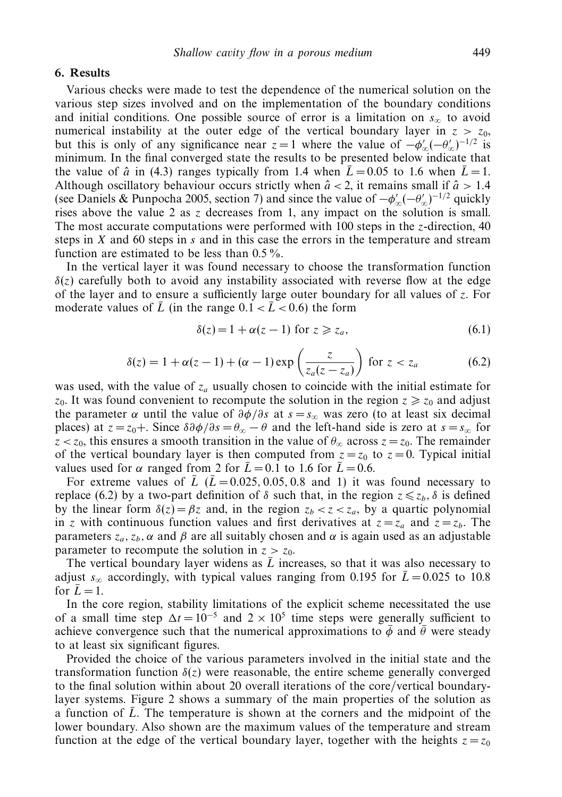#### *6. Results*

Various checks were made to test the dependence of the numerical solution on the various step sizes involved and on the implementation of the boundary conditions and initial conditions. One possible source of error is a limitation on  $s_{\infty}$  to avoid numerical instability at the outer edge of the vertical boundary layer in  $z > z_0$ , but this is only of any significance near  $z = 1$  where the value of  $-\phi_{\infty}'(-\theta_{\infty}')^{-1/2}$  is minimum. In the final converged state the results to be presented below indicate that the value of  $\hat{a}$  in (4.3) ranges typically from 1.4 when  $\bar{L} = 0.05$  to 1.6 when  $\bar{L} = 1$ . Although oscillatory behaviour occurs strictly when  $\hat{a}$  < 2, it remains small if  $\hat{a}$  > 1.4 (see Daniels & Punpocha 2005, section 7) and since the value of  $-\phi_{\infty}'(-\theta_{\infty}')^{-1/2}$  quickly rises above the value 2 as *z* decreases from 1, any impact on the solution is small. The most accurate computations were performed with 100 steps in the *z*-direction, 40 steps in *X* and 60 steps in *s* and in this case the errors in the temperature and stream function are estimated to be less than  $0.5\%$ .

In the vertical layer it was found necessary to choose the transformation function  $\delta(z)$  carefully both to avoid any instability associated with reverse flow at the edge of the layer and to ensure a sufficiently large outer boundary for all values of *z*. For moderate values of  $\overline{L}$  (in the range  $0.1 < \overline{L} < 0.6$ ) the form

$$
\delta(z) = 1 + \alpha(z - 1) \text{ for } z \ge z_a,
$$
\n(6.1)

$$
\delta(z) = 1 + \alpha(z - 1) + (\alpha - 1) \exp\left(\frac{z}{z_a(z - z_a)}\right) \text{ for } z < z_a \tag{6.2}
$$

was used, with the value of *za* usually chosen to coincide with the initial estimate for  $z_0$ . It was found convenient to recompute the solution in the region  $z \ge z_0$  and adjust the parameter  $\alpha$  until the value of  $\frac{\partial \phi}{\partial s}$  at  $s = s_{\infty}$  was zero (to at least six decimal places) at  $z = z_0 +$ . Since  $\delta \frac{\partial \phi}{\partial s} = \theta_\infty - \theta$  and the left-hand side is zero at  $s = s_\infty$  for  $z < z_0$ , this ensures a smooth transition in the value of  $\theta_{\infty}$  across  $z = z_0$ . The remainder of the vertical boundary layer is then computed from  $z = z_0$  to  $z = 0$ . Typical initial values used for  $\alpha$  ranged from 2 for  $\bar{L} = 0.1$  to 1.6 for  $\bar{L} = 0.6$ .

For extreme values of  $\overline{L}$  ( $\overline{L}$  = 0.025, 0.05, 0.8 and 1) it was found necessary to replace (6.2) by a two-part definition of *δ* such that, in the region  $z \le z_b$ , *δ* is defined by the linear form  $\delta(z) = \beta z$  and, in the region  $z_b < z < z_a$ , by a quartic polynomial in *z* with continuous function values and first derivatives at  $z = z_a$  and  $z = z_b$ . The parameters  $z_a$ ,  $z_b$ , α and β are all suitably chosen and  $α$  is again used as an adjustable parameter to recompute the solution in  $z > z_0$ .

The vertical boundary layer widens as  $\overline{L}$  increases, so that it was also necessary to adjust  $s_{\infty}$  accordingly, with typical values ranging from 0.195 for  $\bar{L} = 0.025$  to 10.8 for  $\overline{L} = 1$ .

In the core region, stability limitations of the explicit scheme necessitated the use of a small time step  $\Delta t = 10^{-5}$  and  $2 \times 10^5$  time steps were generally sufficient to achieve convergence such that the numerical approximations to  $\bar{\phi}$  and  $\bar{\theta}$  were steady to at least six significant figures.

Provided the choice of the various parameters involved in the initial state and the transformation function  $\delta(z)$  were reasonable, the entire scheme generally converged to the final solution within about 20 overall iterations of the core/vertical boundarylayer systems. Figure 2 shows a summary of the main properties of the solution as a function of  $\overline{L}$ . The temperature is shown at the corners and the midpoint of the lower boundary. Also shown are the maximum values of the temperature and stream function at the edge of the vertical boundary layer, together with the heights  $z = z_0$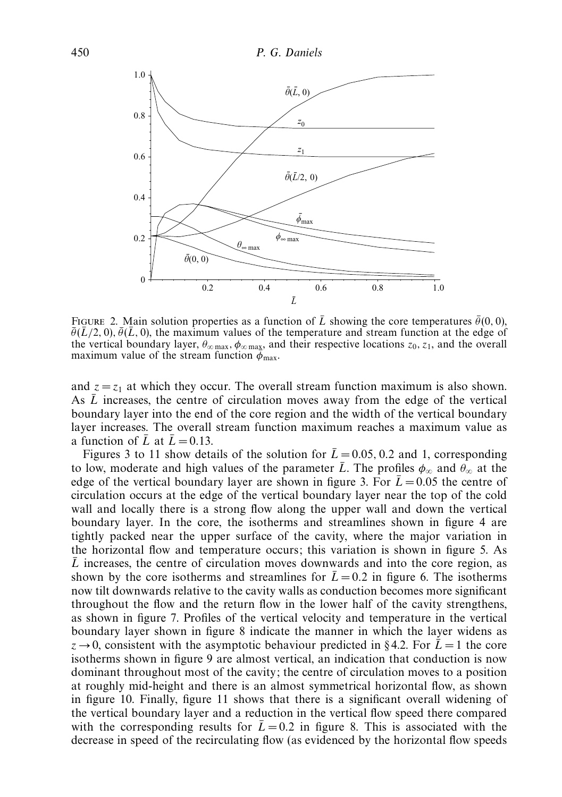

FIGURE 2. Main solution properties as a function of  $\overline{L}$  showing the core temperatures  $\overline{\theta}(0,0)$ ,  $\bar{\theta}(\bar{L}/2, 0), \bar{\theta}(\bar{L}, 0)$ , the maximum values of the temperature and stream function at the edge of the vertical boundary layer, *θ*<sup>∞</sup> max*, φ*<sup>∞</sup> max, and their respective locations *z*0*, z*1, and the overall maximum value of the stream function  $\phi_{\text{max}}$ .

and  $z = z<sub>1</sub>$  at which they occur. The overall stream function maximum is also shown. As  $\overline{L}$  increases, the centre of circulation moves away from the edge of the vertical boundary layer into the end of the core region and the width of the vertical boundary layer increases. The overall stream function maximum reaches a maximum value as a function of  $\overline{L}$  at  $\overline{L} = 0.13$ .

Figures 3 to 11 show details of the solution for  $\bar{L} = 0.05, 0.2$  and 1, corresponding to low, moderate and high values of the parameter  $\bar{L}$ . The profiles  $\phi_{\infty}$  and  $\theta_{\infty}$  at the edge of the vertical boundary layer are shown in figure 3. For  $\bar{L} = 0.05$  the centre of circulation occurs at the edge of the vertical boundary layer near the top of the cold wall and locally there is a strong flow along the upper wall and down the vertical boundary layer. In the core, the isotherms and streamlines shown in figure 4 are tightly packed near the upper surface of the cavity, where the major variation in the horizontal flow and temperature occurs; this variation is shown in figure 5. As  $\overline{L}$  increases, the centre of circulation moves downwards and into the core region, as shown by the core isotherms and streamlines for  $\bar{L} = 0.2$  in figure 6. The isotherms now tilt downwards relative to the cavity walls as conduction becomes more significant throughout the flow and the return flow in the lower half of the cavity strengthens, as shown in figure 7. Profiles of the vertical velocity and temperature in the vertical boundary layer shown in figure 8 indicate the manner in which the layer widens as  $z \rightarrow 0$ , consistent with the asymptotic behaviour predicted in §4.2. For  $\bar{L} = 1$  the core isotherms shown in figure 9 are almost vertical, an indication that conduction is now dominant throughout most of the cavity; the centre of circulation moves to a position at roughly mid-height and there is an almost symmetrical horizontal flow, as shown in figure 10. Finally, figure 11 shows that there is a significant overall widening of the vertical boundary layer and a reduction in the vertical flow speed there compared with the corresponding results for  $\bar{L} = 0.2$  in figure 8. This is associated with the decrease in speed of the recirculating flow (as evidenced by the horizontal flow speeds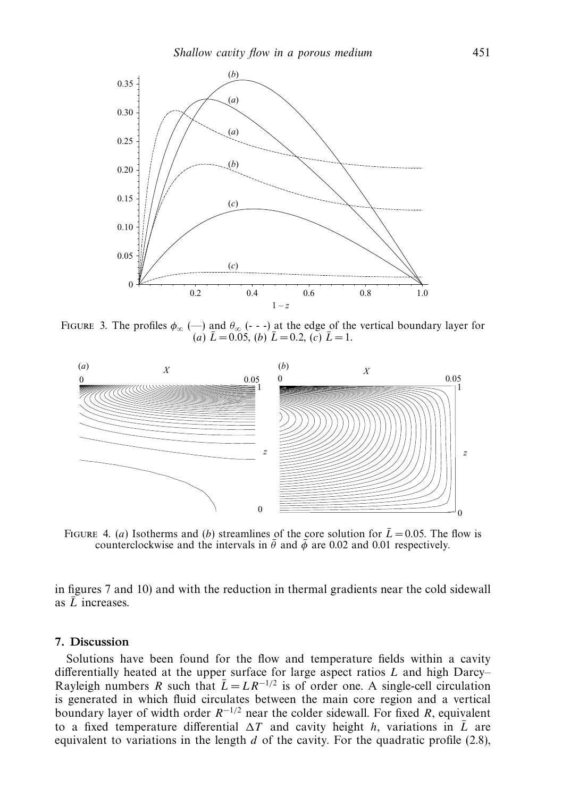

FIGURE 3. The profiles  $\phi_{\infty}$  (--) and  $\theta_{\infty}$  (- --) at the edge of the vertical boundary layer for  $(a) \bar{L} = 0.05$ ,  $(b) \bar{L} = 0.2$ ,  $(c) \bar{L} = 1$ .



FIGURE 4. (*a*) Isotherms and (*b*) streamlines of the core solution for  $\bar{L} = 0.05$ . The flow is counterclockwise and the intervals in  $\bar{\theta}$  and  $\bar{\phi}$  are 0.02 and 0.01 respectively.

in figures 7 and 10) and with the reduction in thermal gradients near the cold sidewall as  $\overline{L}$  increases.

#### *7. Discussion*

Solutions have been found for the flow and temperature fields within a cavity differentially heated at the upper surface for large aspect ratios *L* and high Darcy– Rayleigh numbers *R* such that  $\overline{L} = LR^{-1/2}$  is of order one. A single-cell circulation is generated in which fluid circulates between the main core region and a vertical boundary layer of width order *R*−1*/*<sup>2</sup> near the colder sidewall. For fixed *R*, equivalent to a fixed temperature differential  $\Delta T$  and cavity height *h*, variations in  $\overline{L}$  are equivalent to variations in the length *d* of the cavity. For the quadratic profile (2.8),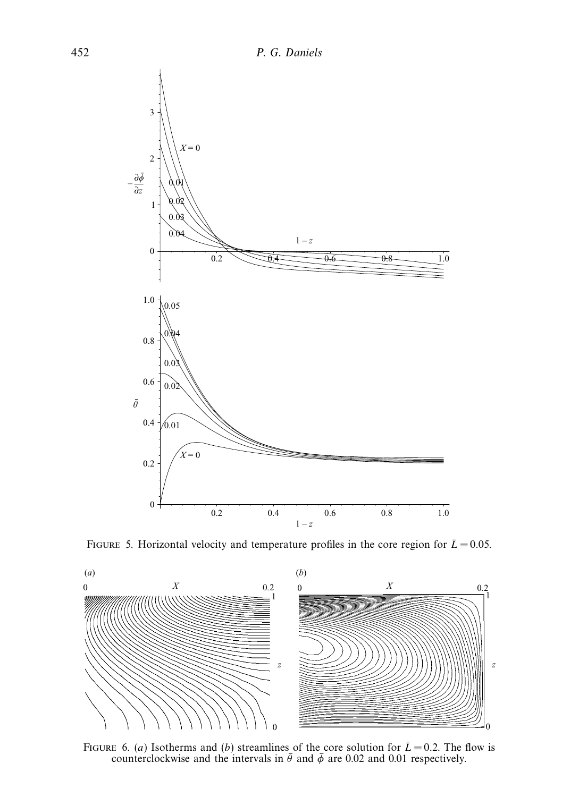





FIGURE 6. (*a*) Isotherms and (*b*) streamlines of the core solution for  $\bar{L} = 0.2$ . The flow is counterclockwise and the intervals in  $\bar{\theta}$  and  $\bar{\phi}$  are 0.02 and 0.01 respectively.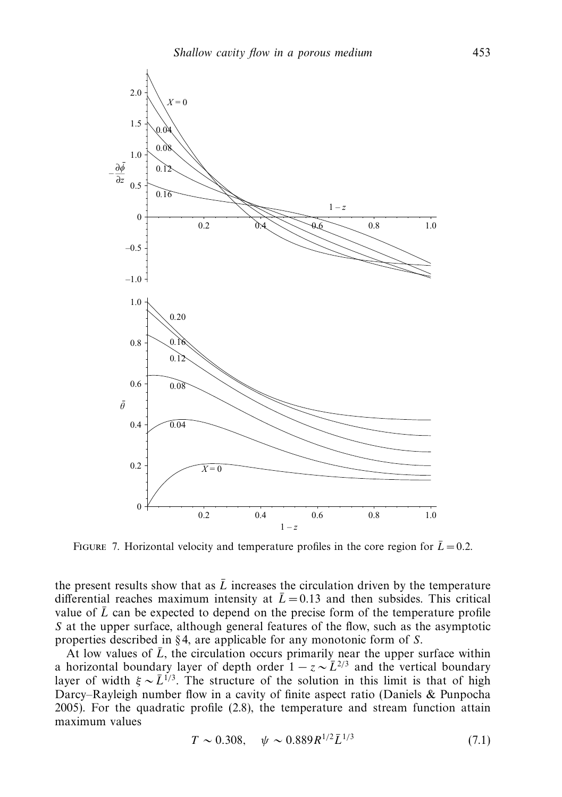

FIGURE 7. Horizontal velocity and temperature profiles in the core region for  $\bar{L} = 0.2$ .

the present results show that as  $\bar{L}$  increases the circulation driven by the temperature differential reaches maximum intensity at  $\bar{L} = 0.13$  and then subsides. This critical value of  $\bar{L}$  can be expected to depend on the precise form of the temperature profile *S* at the upper surface, although general features of the flow, such as the asymptotic properties described in § 4, are applicable for any monotonic form of *S*.

At low values of  $\bar{L}$ , the circulation occurs primarily near the upper surface within a horizontal boundary layer of depth order  $1 - z \sim \bar{L}^{2/3}$  and the vertical boundary layer of width  $\xi \sim \bar{L}^{1/3}$ . The structure of the solution in this limit is that of high Darcy–Rayleigh number flow in a cavity of finite aspect ratio (Daniels & Punpocha 2005). For the quadratic profile (2.8), the temperature and stream function attain maximum values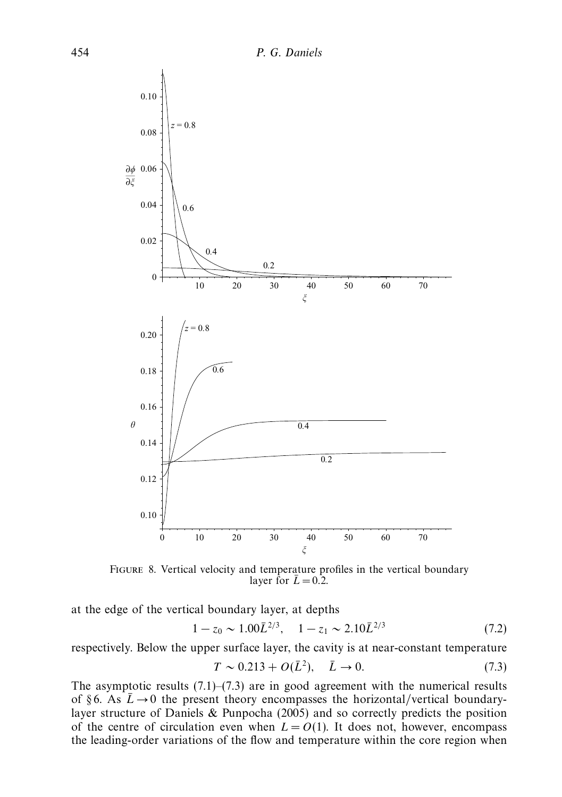

FIGURE 8. Vertical velocity and temperature profiles in the vertical boundary layer for  $\bar{L} = 0.2$ .

at the edge of the vertical boundary layer, at depths

$$
1 - z_0 \sim 1.00 \bar{L}^{2/3}, \quad 1 - z_1 \sim 2.10 \bar{L}^{2/3}
$$
 (7.2)

respectively. Below the upper surface layer, the cavity is at near-constant temperature

$$
T \sim 0.213 + O(\bar{L}^2), \quad \bar{L} \to 0.
$$
 (7.3)

The asymptotic results  $(7.1)$ – $(7.3)$  are in good agreement with the numerical results of §6. As  $\bar{L} \rightarrow 0$  the present theory encompasses the horizontal/vertical boundarylayer structure of Daniels & Punpocha (2005) and so correctly predicts the position of the centre of circulation even when  $L = O(1)$ . It does not, however, encompass the leading-order variations of the flow and temperature within the core region when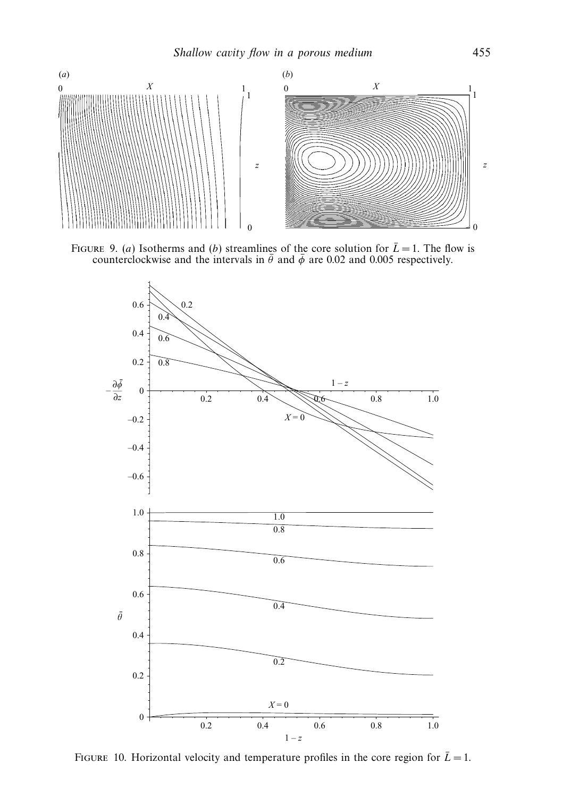

FIGURE 9. (*a*) Isotherms and (*b*) streamlines of the core solution for  $\bar{L} = 1$ . The flow is counterclockwise and the intervals in  $\bar{\theta}$  and  $\bar{\phi}$  are 0.02 and 0.005 respectively.



FIGURE 10. Horizontal velocity and temperature profiles in the core region for  $\bar{L} = 1$ .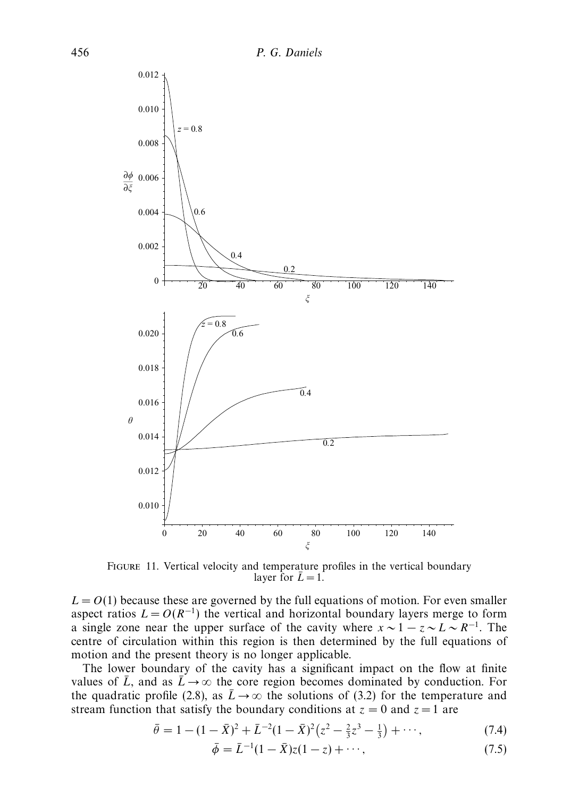

FIGURE 11. Vertical velocity and temperature profiles in the vertical boundary layer for  $\bar{L} = 1$ .

 $L = O(1)$  because these are governed by the full equations of motion. For even smaller aspect ratios  $L = O(R^{-1})$  the vertical and horizontal boundary layers merge to form a single zone near the upper surface of the cavity where  $x \sim 1 - z \sim L \sim R^{-1}$ . The centre of circulation within this region is then determined by the full equations of motion and the present theory is no longer applicable.

The lower boundary of the cavity has a significant impact on the flow at finite values of  $\bar{L}$ , and as  $\bar{L} \rightarrow \infty$  the core region becomes dominated by conduction. For the quadratic profile (2.8), as  $\bar{L} \rightarrow \infty$  the solutions of (3.2) for the temperature and stream function that satisfy the boundary conditions at  $z = 0$  and  $z = 1$  are

$$
\bar{\theta} = 1 - (1 - \bar{X})^2 + \bar{L}^{-2} (1 - \bar{X})^2 (z^2 - \frac{2}{3}z^3 - \frac{1}{3}) + \cdots,
$$
\n(7.4)

$$
\bar{\phi} = \bar{L}^{-1}(1 - \bar{X})z(1 - z) + \cdots,
$$
\n(7.5)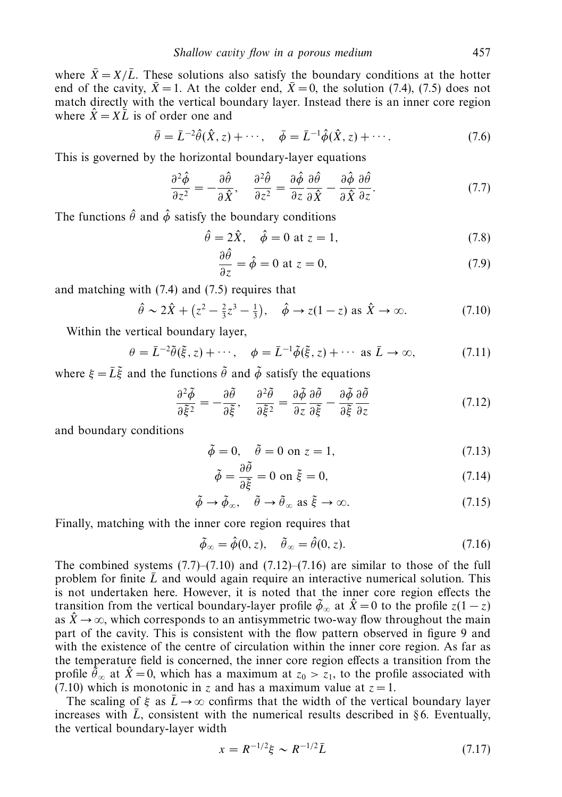where  $\bar{X} = X/\bar{L}$ . These solutions also satisfy the boundary conditions at the hotter end of the cavity,  $\bar{X} = 1$ . At the colder end,  $\bar{X} = 0$ , the solution (7.4), (7.5) does not match directly with the vertical boundary layer. Instead there is an inner core region where  $\hat{X} = X\overline{L}$  is of order one and

$$
\bar{\theta} = \bar{L}^{-2}\hat{\theta}(\hat{X}, z) + \cdots, \quad \bar{\phi} = \bar{L}^{-1}\hat{\phi}(\hat{X}, z) + \cdots.
$$
 (7.6)

This is governed by the horizontal boundary-layer equations

$$
\frac{\partial^2 \hat{\phi}}{\partial z^2} = -\frac{\partial \hat{\theta}}{\partial \hat{X}}, \quad \frac{\partial^2 \hat{\theta}}{\partial z^2} = \frac{\partial \hat{\phi}}{\partial z} \frac{\partial \hat{\theta}}{\partial \hat{X}} - \frac{\partial \hat{\phi}}{\partial \hat{X}} \frac{\partial \hat{\theta}}{\partial z}.
$$
(7.7)

The functions  $\hat{\theta}$  and  $\hat{\phi}$  satisfy the boundary conditions

$$
\hat{\theta} = 2\hat{X}, \quad \hat{\phi} = 0 \text{ at } z = 1,
$$
\n(7.8)

$$
\frac{\partial \hat{\theta}}{\partial z} = \hat{\phi} = 0 \text{ at } z = 0,
$$
\n(7.9)

and matching with (7.4) and (7.5) requires that

$$
\hat{\theta} \sim 2\hat{X} + (z^2 - \frac{2}{3}z^3 - \frac{1}{3}), \quad \hat{\phi} \to z(1-z)
$$
 as  $\hat{X} \to \infty.$  (7.10)

Within the vertical boundary layer,

$$
\theta = \bar{L}^{-2}\tilde{\theta}(\tilde{\xi}, z) + \cdots, \quad \phi = \bar{L}^{-1}\tilde{\phi}(\tilde{\xi}, z) + \cdots \text{ as } \bar{L} \to \infty,
$$
 (7.11)

where  $\xi = \overline{L}\tilde{\xi}$  and the functions  $\tilde{\theta}$  and  $\tilde{\phi}$  satisfy the equations

$$
\frac{\partial^2 \tilde{\phi}}{\partial \tilde{\xi}^2} = -\frac{\partial \tilde{\theta}}{\partial \tilde{\xi}}, \quad \frac{\partial^2 \tilde{\theta}}{\partial \tilde{\xi}^2} = \frac{\partial \tilde{\phi}}{\partial z} \frac{\partial \tilde{\theta}}{\partial \tilde{\xi}} - \frac{\partial \tilde{\phi}}{\partial \tilde{\xi}} \frac{\partial \tilde{\theta}}{\partial z}
$$
(7.12)

and boundary conditions

$$
\tilde{\phi} = 0, \quad \tilde{\theta} = 0 \text{ on } z = 1,
$$
\n(7.13)

$$
\tilde{\phi} = \frac{\partial \tilde{\theta}}{\partial \tilde{\xi}} = 0 \text{ on } \tilde{\xi} = 0,
$$
\n(7.14)

$$
\tilde{\phi} \to \tilde{\phi}_{\infty}, \quad \tilde{\theta} \to \tilde{\theta}_{\infty} \text{ as } \tilde{\xi} \to \infty.
$$
 (7.15)

Finally, matching with the inner core region requires that

$$
\tilde{\phi}_{\infty} = \hat{\phi}(0, z), \quad \tilde{\theta}_{\infty} = \hat{\theta}(0, z). \tag{7.16}
$$

The combined systems  $(7.7)$ – $(7.10)$  and  $(7.12)$ – $(7.16)$  are similar to those of the full problem for finite  $\bar{L}$  and would again require an interactive numerical solution. This is not undertaken here. However, it is noted that the inner core region effects the transition from the vertical boundary-layer profile  $\tilde{\phi}_{\infty}$  at  $\hat{X} = 0$  to the profile  $z(1 - z)$ as  $\hat{X} \rightarrow \infty$ , which corresponds to an antisymmetric two-way flow throughout the main part of the cavity. This is consistent with the flow pattern observed in figure 9 and with the existence of the centre of circulation within the inner core region. As far as the temperature field is concerned, the inner core region effects a transition from the profile  $\tilde{\theta}_{\infty}$  at  $\hat{X} = 0$ , which has a maximum at  $z_0 > z_1$ , to the profile associated with (7.10) which is monotonic in *z* and has a maximum value at  $z = 1$ .

The scaling of  $\xi$  as  $\bar{L} \rightarrow \infty$  confirms that the width of the vertical boundary layer increases with  $\bar{L}$ , consistent with the numerical results described in § 6. Eventually, the vertical boundary-layer width

$$
x = R^{-1/2}\xi \sim R^{-1/2}\bar{L} \tag{7.17}
$$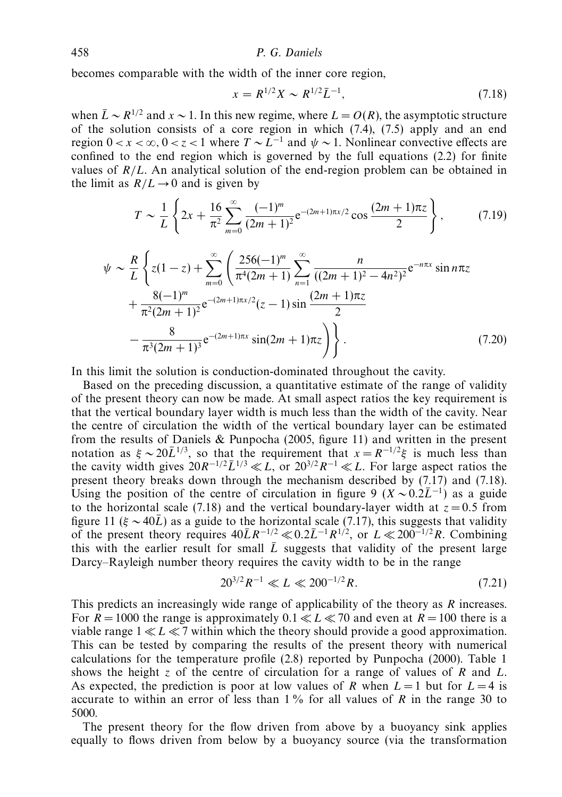becomes comparable with the width of the inner core region,

$$
x = R^{1/2}X \sim R^{1/2}\bar{L}^{-1},\tag{7.18}
$$

when  $\bar{L} \sim R^{1/2}$  and  $x \sim 1$ . In this new regime, where  $L = O(R)$ , the asymptotic structure of the solution consists of a core region in which  $(7.4)$ ,  $(7.5)$  apply and an end region  $0 < x < \infty$ ,  $0 < z < 1$  where  $T \sim L^{-1}$  and  $\psi \sim 1$ . Nonlinear convective effects are confined to the end region which is governed by the full equations (2.2) for finite values of *R/L*. An analytical solution of the end-region problem can be obtained in the limit as  $R/L \rightarrow 0$  and is given by

$$
T \sim \frac{1}{L} \left\{ 2x + \frac{16}{\pi^2} \sum_{m=0}^{\infty} \frac{(-1)^m}{(2m+1)^2} e^{-(2m+1)\pi x/2} \cos \frac{(2m+1)\pi z}{2} \right\},
$$
 (7.19)

$$
\psi \sim \frac{R}{L} \left\{ z(1-z) + \sum_{m=0}^{\infty} \left( \frac{256(-1)^m}{\pi^4 (2m+1)} \sum_{n=1}^{\infty} \frac{n}{((2m+1)^2 - 4n^2)^2} e^{-n\pi x} \sin n\pi z + \frac{8(-1)^m}{\pi^2 (2m+1)^2} e^{-(2m+1)\pi x/2} (z-1) \sin \frac{(2m+1)\pi z}{2} - \frac{8}{\pi^3 (2m+1)^3} e^{-(2m+1)\pi x} \sin (2m+1)\pi z \right) \right\}.
$$
\n(7.20)

In this limit the solution is conduction-dominated throughout the cavity.

Based on the preceding discussion, a quantitative estimate of the range of validity of the present theory can now be made. At small aspect ratios the key requirement is that the vertical boundary layer width is much less than the width of the cavity. Near the centre of circulation the width of the vertical boundary layer can be estimated from the results of Daniels & Punpocha (2005, figure 11) and written in the present notation as  $\xi \sim 20\overline{L}^{1/3}$ , so that the requirement that  $x = R^{-1/2}\xi$  is much less than the cavity width gives  $20R^{-1/2}\bar{L}^{1/3} \ll L$ , or  $20^{3/2}R^{-1} \ll L$ . For large aspect ratios the present theory breaks down through the mechanism described by (7.17) and (7.18). Using the position of the centre of circulation in figure 9 ( $X \sim 0.2\overline{L}^{-1}$ ) as a guide to the horizontal scale (7.18) and the vertical boundary-layer width at  $z = 0.5$  from figure 11 ( $\xi \sim 40\bar{L}$ ) as a guide to the horizontal scale (7.17), this suggests that validity of the present theory requires  $40\overline{L}R^{-1/2} \ll 0.2\overline{L}^{-1}R^{1/2}$ , or  $L \ll 200^{-1/2}R$ . Combining this with the earlier result for small  $\overline{L}$  suggests that validity of the present large Darcy–Rayleigh number theory requires the cavity width to be in the range

$$
20^{3/2}R^{-1} \ll L \ll 200^{-1/2}R. \tag{7.21}
$$

This predicts an increasingly wide range of applicability of the theory as *R* increases. For  $R = 1000$  the range is approximately  $0.1 \ll L \ll 70$  and even at  $R = 100$  there is a viable range  $1 \ll L \ll 7$  within which the theory should provide a good approximation. This can be tested by comparing the results of the present theory with numerical calculations for the temperature profile (2.8) reported by Punpocha (2000). Table 1 shows the height *z* of the centre of circulation for a range of values of *R* and *L*. As expected, the prediction is poor at low values of *R* when  $L = 1$  but for  $L = 4$  is accurate to within an error of less than 1 % for all values of *R* in the range 30 to 5000.

The present theory for the flow driven from above by a buoyancy sink applies equally to flows driven from below by a buoyancy source (via the transformation